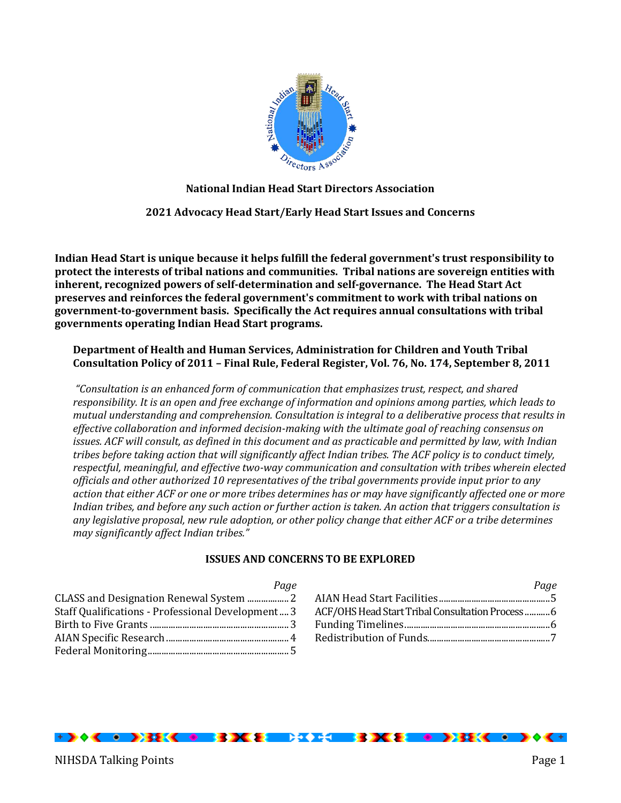

## **National Indian Head Start Directors Association**

**2021 Advocacy Head Start/Early Head Start Issues and Concerns**

**Indian Head Start is unique because it helps fulfill the federal government's trust responsibility to protect the interests of tribal nations and communities. Tribal nations are sovereign entities with inherent, recognized powers of self-determination and self-governance. The Head Start Act preserves and reinforces the federal government's commitment to work with tribal nations on government-to-government basis. Specifically the Act requires annual consultations with tribal governments operating Indian Head Start programs.**

**Department of Health and Human Services, Administration for Children and Youth Tribal Consultation Policy of 2011 – Final Rule, Federal Register, Vol. 76, No. 174, September 8, 2011**

*"Consultation is an enhanced form of communication that emphasizes trust, respect, and shared responsibility. It is an open and free exchange of information and opinions among parties, which leads to mutual understanding and comprehension. Consultation is integral to a deliberative process that results in effective collaboration and informed decision-making with the ultimate goal of reaching consensus on issues. ACF will consult, as defined in this document and as practicable and permitted by law, with Indian tribes before taking action that will significantly affect Indian tribes. The ACF policy is to conduct timely, respectful, meaningful, and effective two-way communication and consultation with tribes wherein elected officials and other authorized 10 representatives of the tribal governments provide input prior to any action that either ACF or one or more tribes determines has or may have significantly affected one or more Indian tribes, and before any such action or further action is taken. An action that triggers consultation is any legislative proposal, new rule adoption, or other policy change that either ACF or a tribe determines may significantly affect Indian tribes."*

## **ISSUES AND CONCERNS TO BE EXPLORED**

| Page                                              |
|---------------------------------------------------|
|                                                   |
| Staff Qualifications - Professional Development 3 |
|                                                   |
|                                                   |
|                                                   |

|                                                 | Page |
|-------------------------------------------------|------|
|                                                 |      |
| ACF/OHS Head Start Tribal Consultation Process6 |      |
|                                                 |      |
|                                                 |      |

# <u> + > + < + - > 33K < + - 33K & = 34 x + = 33K & = + >33K < + - > + < +</u>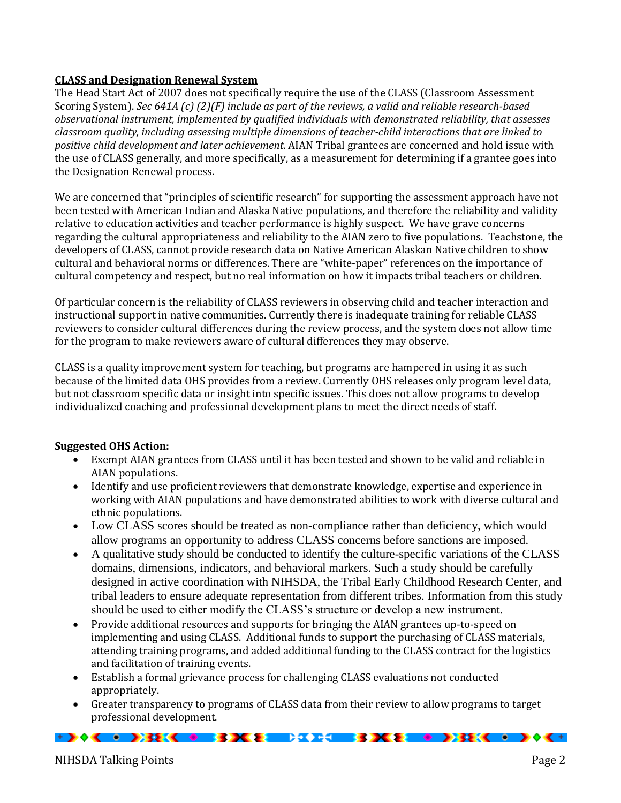# **CLASS and Designation Renewal System**

The Head Start Act of 2007 does not specifically require the use of the CLASS (Classroom Assessment Scoring System). *Sec 641A (c) (2)(F) include as part of the reviews, a valid and reliable research-based observational instrument, implemented by qualified individuals with demonstrated reliability, that assesses classroom quality, including assessing multiple dimensions of teacher-child interactions that are linked to positive child development and later achievement.* AIAN Tribal grantees are concerned and hold issue with the use of CLASS generally, and more specifically, as a measurement for determining if a grantee goes into the Designation Renewal process.

We are concerned that "principles of scientific research" for supporting the assessment approach have not been tested with American Indian and Alaska Native populations, and therefore the reliability and validity relative to education activities and teacher performance is highly suspect. We have grave concerns regarding the cultural appropriateness and reliability to the AIAN zero to five populations. Teachstone, the developers of CLASS, cannot provide research data on Native American Alaskan Native children to show cultural and behavioral norms or differences. There are "white-paper" references on the importance of cultural competency and respect, but no real information on how it impacts tribal teachers or children.

Of particular concern is the reliability of CLASS reviewers in observing child and teacher interaction and instructional support in native communities. Currently there is inadequate training for reliable CLASS reviewers to consider cultural differences during the review process, and the system does not allow time for the program to make reviewers aware of cultural differences they may observe.

CLASS is a quality improvement system for teaching, but programs are hampered in using it as such because of the limited data OHS provides from a review. Currently OHS releases only program level data, but not classroom specific data or insight into specific issues. This does not allow programs to develop individualized coaching and professional development plans to meet the direct needs of staff.

# **Suggested OHS Action:**

- Exempt AIAN grantees from CLASS until it has been tested and shown to be valid and reliable in AIAN populations.
- Identify and use proficient reviewers that demonstrate knowledge, expertise and experience in working with AIAN populations and have demonstrated abilities to work with diverse cultural and ethnic populations.
- Low CLASS scores should be treated as non-compliance rather than deficiency, which would allow programs an opportunity to address CLASS concerns before sanctions are imposed.
- A qualitative study should be conducted to identify the culture-specific variations of the CLASS domains, dimensions, indicators, and behavioral markers. Such a study should be carefully designed in active coordination with NIHSDA, the Tribal Early Childhood Research Center, and tribal leaders to ensure adequate representation from different tribes. Information from this study should be used to either modify the CLASS's structure or develop a new instrument.
- Provide additional resources and supports for bringing the AIAN grantees up-to-speed on implementing and using CLASS. Additional funds to support the purchasing of CLASS materials, attending training programs, and added additional funding to the CLASS contract for the logistics and facilitation of training events.
- Establish a formal grievance process for challenging CLASS evaluations not conducted appropriately.
- Greater transparency to programs of CLASS data from their review to allow programs to target professional development.

F) \*< + >3E< + 33K E = 34E = 33K E + >3E< + > < +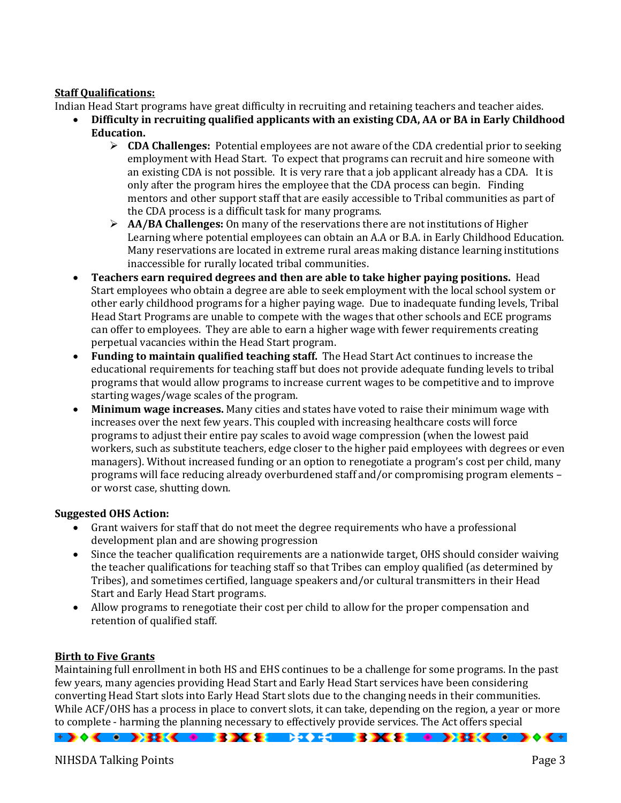# **Staff Qualifications:**

Indian Head Start programs have great difficulty in recruiting and retaining teachers and teacher aides.

- **Difficulty in recruiting qualified applicants with an existing CDA, AA or BA in Early Childhood Education.** 
	- **CDA Challenges:** Potential employees are not aware of the CDA credential prior to seeking employment with Head Start. To expect that programs can recruit and hire someone with an existing CDA is not possible. It is very rare that a job applicant already has a CDA. It is only after the program hires the employee that the CDA process can begin. Finding mentors and other support staff that are easily accessible to Tribal communities as part of the CDA process is a difficult task for many programs.
	- **AA/BA Challenges:** On many of the reservations there are not institutions of Higher Learning where potential employees can obtain an A.A or B.A. in Early Childhood Education. Many reservations are located in extreme rural areas making distance learning institutions inaccessible for rurally located tribal communities.
- **Teachers earn required degrees and then are able to take higher paying positions.** Head Start employees who obtain a degree are able to seek employment with the local school system or other early childhood programs for a higher paying wage. Due to inadequate funding levels, Tribal Head Start Programs are unable to compete with the wages that other schools and ECE programs can offer to employees. They are able to earn a higher wage with fewer requirements creating perpetual vacancies within the Head Start program.
- **Funding to maintain qualified teaching staff.** The Head Start Act continues to increase the educational requirements for teaching staff but does not provide adequate funding levels to tribal programs that would allow programs to increase current wages to be competitive and to improve starting wages/wage scales of the program.
- **Minimum wage increases.** Many cities and states have voted to raise their minimum wage with increases over the next few years. This coupled with increasing healthcare costs will force programs to adjust their entire pay scales to avoid wage compression (when the lowest paid workers, such as substitute teachers, edge closer to the higher paid employees with degrees or even managers). Without increased funding or an option to renegotiate a program's cost per child, many programs will face reducing already overburdened staff and/or compromising program elements – or worst case, shutting down.

# **Suggested OHS Action:**

- Grant waivers for staff that do not meet the degree requirements who have a professional development plan and are showing progression
- Since the teacher qualification requirements are a nationwide target, OHS should consider waiving the teacher qualifications for teaching staff so that Tribes can employ qualified (as determined by Tribes), and sometimes certified, language speakers and/or cultural transmitters in their Head Start and Early Head Start programs.
- Allow programs to renegotiate their cost per child to allow for the proper compensation and retention of qualified staff.

# **Birth to Five Grants**

Maintaining full enrollment in both HS and EHS continues to be a challenge for some programs. In the past few years, many agencies providing Head Start and Early Head Start services have been considering converting Head Start slots into Early Head Start slots due to the changing needs in their communities. While ACF/OHS has a process in place to convert slots, it can take, depending on the region, a year or more to complete - harming the planning necessary to effectively provide services. The Act offers special

 $+$  )  $+$  (  $+$  ) 32 (  $+$  33 ) (  $+$  33 ) (  $+$  33 ) (  $+$   $+$  33 ) (  $+$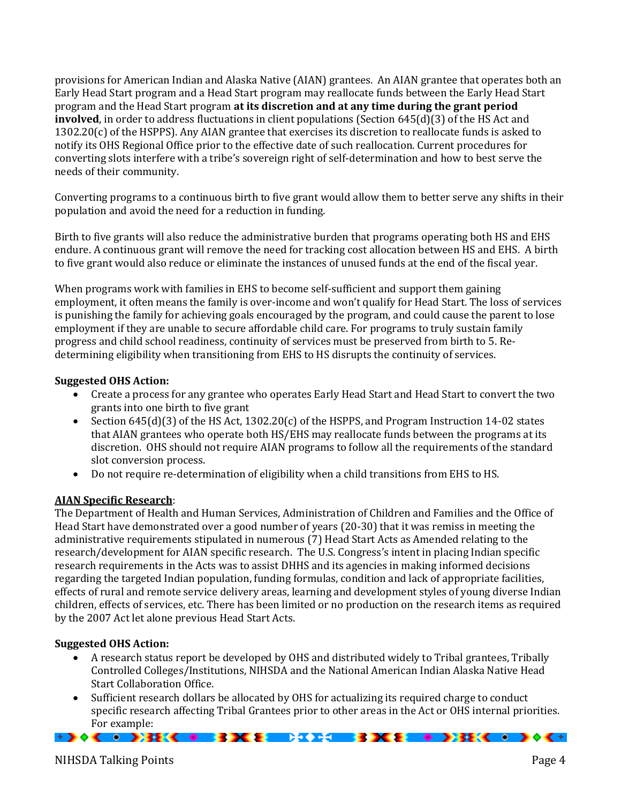provisions for American Indian and Alaska Native (AIAN) grantees. An AIAN grantee that operates both an Early Head Start program and a Head Start program may reallocate funds between the Early Head Start program and the Head Start program **at its discretion and at any time during the grant period involved**, in order to address fluctuations in client populations (Section 645(d)(3) of the HS Act and  $1302.20(c)$  of the HSPPS). Any AIAN grantee that exercises its discretion to reallocate funds is asked to notify its OHS Regional Office prior to the effective date of such reallocation. Current procedures for converting slots interfere with a tribe's sovereign right of self-determination and how to best serve the needs of their community.

Converting programs to a continuous birth to five grant would allow them to better serve any shifts in their population and avoid the need for a reduction in funding.

Birth to five grants will also reduce the administrative burden that programs operating both HS and EHS endure. A continuous grant will remove the need for tracking cost allocation between HS and EHS. A birth to five grant would also reduce or eliminate the instances of unused funds at the end of the fiscal year.

When programs work with families in EHS to become self-sufficient and support them gaining employment, it often means the family is over-income and won't qualify for Head Start. The loss of services is punishing the family for achieving goals encouraged by the program, and could cause the parent to lose employment if they are unable to secure affordable child care. For programs to truly sustain family progress and child school readiness, continuity of services must be preserved from birth to 5. Redetermining eligibility when transitioning from EHS to HS disrupts the continuity of services.

## **Suggested OHS Action:**

- Create a process for any grantee who operates Early Head Start and Head Start to convert the two grants into one birth to five grant
- Section  $645(d)(3)$  of the HS Act, 1302.20(c) of the HSPPS, and Program Instruction 14-02 states that AIAN grantees who operate both HS/EHS may reallocate funds between the programs at its discretion. OHS should not require AIAN programs to follow all the requirements of the standard slot conversion process.
- Do not require re-determination of eligibility when a child transitions from EHS to HS.

## **AIAN Specific Research**:

The Department of Health and Human Services, Administration of Children and Families and the Office of Head Start have demonstrated over a good number of years (20-30) that it was remiss in meeting the administrative requirements stipulated in numerous (7) Head Start Acts as Amended relating to the research/development for AIAN specific research. The U.S. Congress's intent in placing Indian specific research requirements in the Acts was to assist DHHS and its agencies in making informed decisions regarding the targeted Indian population, funding formulas, condition and lack of appropriate facilities, effects of rural and remote service delivery areas, learning and development styles of young diverse Indian children, effects of services, etc. There has been limited or no production on the research items as required by the 2007 Act let alone previous Head Start Acts.

## **Suggested OHS Action:**

- A research status report be developed by OHS and distributed widely to Tribal grantees, Tribally Controlled Colleges/Institutions, NIHSDA and the National American Indian Alaska Native Head Start Collaboration Office.
- Sufficient research dollars be allocated by OHS for actualizing its required charge to conduct specific research affecting Tribal Grantees prior to other areas in the Act or OHS internal priorities. For example: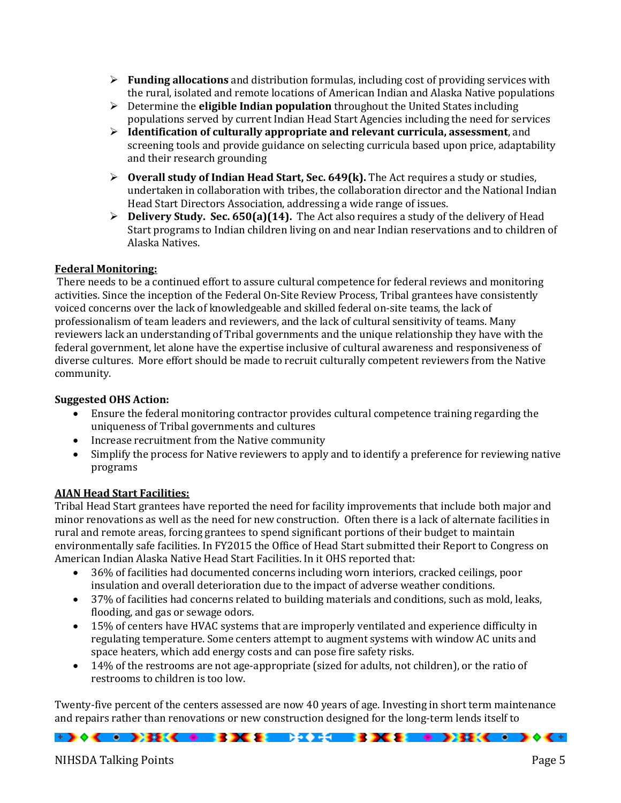- **Funding allocations** and distribution formulas, including cost of providing services with the rural, isolated and remote locations of American Indian and Alaska Native populations
- Determine the **eligible Indian population** throughout the United States including populations served by current Indian Head Start Agencies including the need for services
- **Identification of culturally appropriate and relevant curricula, assessment**, and screening tools and provide guidance on selecting curricula based upon price, adaptability and their research grounding
- **Overall study of Indian Head Start, Sec. 649(k).** The Act requires a study or studies, undertaken in collaboration with tribes, the collaboration director and the National Indian Head Start Directors Association, addressing a wide range of issues.
- **Delivery Study. Sec. 650(a)(14).** The Act also requires a study of the delivery of Head Start programs to Indian children living on and near Indian reservations and to children of Alaska Natives.

## **Federal Monitoring:**

There needs to be a continued effort to assure cultural competence for federal reviews and monitoring activities. Since the inception of the Federal On-Site Review Process, Tribal grantees have consistently voiced concerns over the lack of knowledgeable and skilled federal on-site teams, the lack of professionalism of team leaders and reviewers, and the lack of cultural sensitivity of teams. Many reviewers lack an understanding of Tribal governments and the unique relationship they have with the federal government, let alone have the expertise inclusive of cultural awareness and responsiveness of diverse cultures. More effort should be made to recruit culturally competent reviewers from the Native community.

## **Suggested OHS Action:**

- Ensure the federal monitoring contractor provides cultural competence training regarding the uniqueness of Tribal governments and cultures
- Increase recruitment from the Native community
- Simplify the process for Native reviewers to apply and to identify a preference for reviewing native programs

## **AIAN Head Start Facilities:**

Tribal Head Start grantees have reported the need for facility improvements that include both major and minor renovations as well as the need for new construction. Often there is a lack of alternate facilities in rural and remote areas, forcing grantees to spend significant portions of their budget to maintain environmentally safe facilities. In FY2015 the Office of Head Start submitted their Report to Congress on American Indian Alaska Native Head Start Facilities. In it OHS reported that:

- 36% of facilities had documented concerns including worn interiors, cracked ceilings, poor insulation and overall deterioration due to the impact of adverse weather conditions.
- 37% of facilities had concerns related to building materials and conditions, such as mold, leaks, flooding, and gas or sewage odors.
- 15% of centers have HVAC systems that are improperly ventilated and experience difficulty in regulating temperature. Some centers attempt to augment systems with window AC units and space heaters, which add energy costs and can pose fire safety risks.
- 14% of the restrooms are not age-appropriate (sized for adults, not children), or the ratio of restrooms to children is too low.

Twenty-five percent of the centers assessed are now 40 years of age. Investing in short term maintenance and repairs rather than renovations or new construction designed for the long-term lends itself to

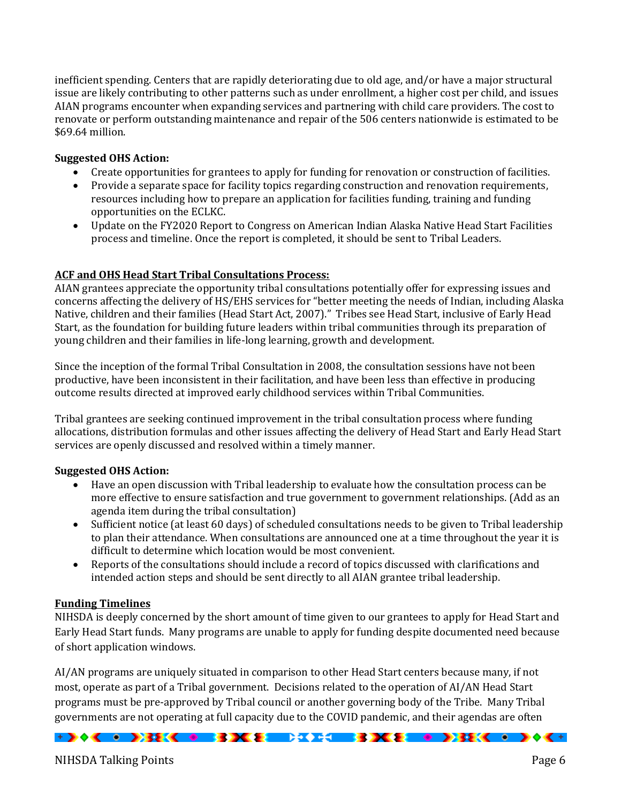inefficient spending. Centers that are rapidly deteriorating due to old age, and/or have a major structural issue are likely contributing to other patterns such as under enrollment, a higher cost per child, and issues AIAN programs encounter when expanding services and partnering with child care providers. The cost to renovate or perform outstanding maintenance and repair of the 506 centers nationwide is estimated to be \$69.64 million.

# **Suggested OHS Action:**

- Create opportunities for grantees to apply for funding for renovation or construction of facilities.
- Provide a separate space for facility topics regarding construction and renovation requirements, resources including how to prepare an application for facilities funding, training and funding opportunities on the ECLKC.
- Update on the FY2020 Report to Congress on American Indian Alaska Native Head Start Facilities process and timeline. Once the report is completed, it should be sent to Tribal Leaders.

## **ACF and OHS Head Start Tribal Consultations Process:**

AIAN grantees appreciate the opportunity tribal consultations potentially offer for expressing issues and concerns affecting the delivery of HS/EHS services for "better meeting the needs of Indian, including Alaska Native, children and their families (Head Start Act, 2007)." Tribes see Head Start, inclusive of Early Head Start, as the foundation for building future leaders within tribal communities through its preparation of young children and their families in life-long learning, growth and development.

Since the inception of the formal Tribal Consultation in 2008, the consultation sessions have not been productive, have been inconsistent in their facilitation, and have been less than effective in producing outcome results directed at improved early childhood services within Tribal Communities.

Tribal grantees are seeking continued improvement in the tribal consultation process where funding allocations, distribution formulas and other issues affecting the delivery of Head Start and Early Head Start services are openly discussed and resolved within a timely manner.

## **Suggested OHS Action:**

- Have an open discussion with Tribal leadership to evaluate how the consultation process can be more effective to ensure satisfaction and true government to government relationships. (Add as an agenda item during the tribal consultation)
- Sufficient notice (at least 60 days) of scheduled consultations needs to be given to Tribal leadership to plan their attendance. When consultations are announced one at a time throughout the year it is difficult to determine which location would be most convenient.
- Reports of the consultations should include a record of topics discussed with clarifications and intended action steps and should be sent directly to all AIAN grantee tribal leadership.

## **Funding Timelines**

NIHSDA is deeply concerned by the short amount of time given to our grantees to apply for Head Start and Early Head Start funds. Many programs are unable to apply for funding despite documented need because of short application windows.

AI/AN programs are uniquely situated in comparison to other Head Start centers because many, if not most, operate as part of a Tribal government. Decisions related to the operation of AI/AN Head Start programs must be pre-approved by Tribal council or another governing body of the Tribe. Many Tribal governments are not operating at full capacity due to the COVID pandemic, and their agendas are often

 $+$  )  $+$  (  $+$  ) 32 (  $+$  33 ) (  $+$  33 ) (  $+$  33 ) (  $+$   $+$  33 ) (  $+$